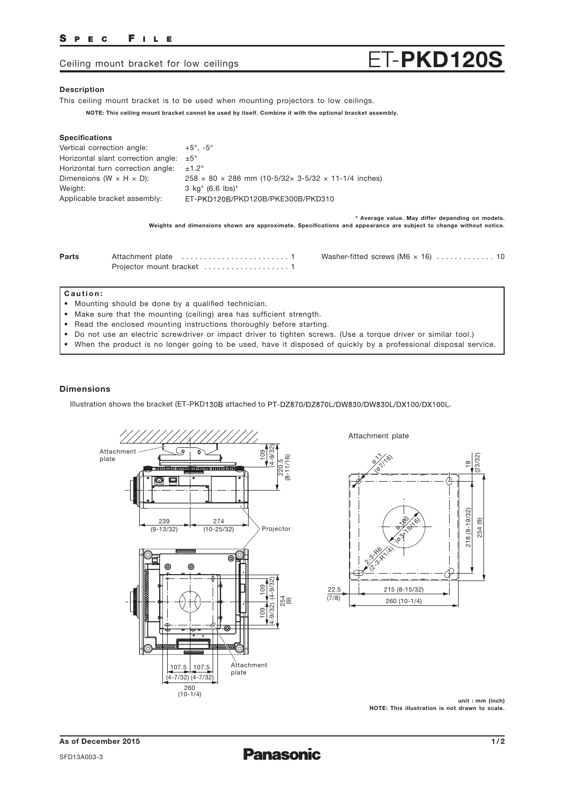## SPEC FILE

# Ceiling mount bracket for low ceilings  $ET-PKD120S$

### Description

This ceiling mount bracket is to be used when mounting projectors to low ceilings.

NOTE: This ceiling mount bracket cannot be used by itself. Combine it with the optional bracket assembly.

#### Specifications

| Vertical correction angle:            | $+5^{\circ}$ , $-5^{\circ}$                                                                                                                                           |
|---------------------------------------|-----------------------------------------------------------------------------------------------------------------------------------------------------------------------|
| Horizontal slant correction angle:    | $\pm 5^{\circ}$                                                                                                                                                       |
| Horizontal turn correction angle:     | $±1.2^\circ$                                                                                                                                                          |
| Dimensions (W $\times$ H $\times$ D): | $258 \times 80 \times 286$ mm (10-5/32 x 3-5/32 x 11-1/4 inches)                                                                                                      |
| Weight:                               | $3 \text{ kg}^*$ (6.6 lbs) <sup>*</sup>                                                                                                                               |
| Applicable bracket assembly:          | ET-PKD120B/PKD120B/PKE300B/PKD310                                                                                                                                     |
|                                       |                                                                                                                                                                       |
|                                       | * Average value. May differ depending on models.<br>Weights and dimensions shown are approximate. Specifications and appearance are subject to change without notice. |

### Caution:

- Mounting should be done by a qualified technician.
- Make sure that the mounting (ceiling) area has sufficient strength.
- Read the enclosed mounting instructions thoroughly before starting.
- Do not use an electric screwdriver or impact driver to tighten screws. (Use a torque driver or similar tool.)
- When the product is no longer going to be used, have it disposed of quickly by a professional disposal service.

### Dimensions

Illustration shows the bracket (ET-PKD130B attached to PT-DZ870/DZ870L/DW830/DW830L/DX100/DX100L.



Attachment plate



unit : mm (inch) NOTE: This illustration is not drawn to scale.